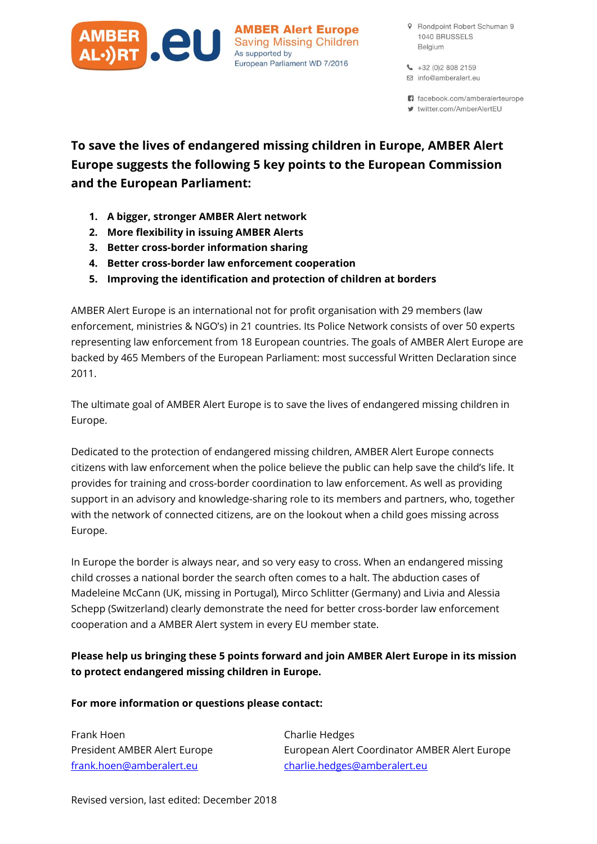

**AMBER Alert Europe Saving Missing Children** As supported by European Parliament WD 7/2016

- 9 Rondpoint Robert Schuman 9 1040 BRUSSELS Belgium
- $\leftarrow +32(0)28082159$ □ info@amberalert.eu

n facebook.com/amberalerteurope

₩ twitter.com/AmberAlertEU

# To save the lives of endangered missing children in Europe, AMBER Alert Europe suggests the following 5 key points to the European Commission and the European Parliament:

- 1. A bigger, stronger AMBER Alert network
- 2. More flexibility in issuing AMBER Alerts
- 3. Better cross-border information sharing
- 4. Better cross-border law enforcement cooperation
- 5. Improving the identification and protection of children at borders

AMBER Alert Europe is an international not for profit organisation with 29 members (law enforcement, ministries & NGO's) in 21 countries. Its Police Network consists of over 50 experts representing law enforcement from 18 European countries. The goals of AMBER Alert Europe are backed by 465 Members of the European Parliament: most successful Written Declaration since 2011.

The ultimate goal of AMBER Alert Europe is to save the lives of endangered missing children in Europe.

Dedicated to the protection of endangered missing children, AMBER Alert Europe connects citizens with law enforcement when the police believe the public can help save the child's life. It provides for training and cross-border coordination to law enforcement. As well as providing support in an advisory and knowledge-sharing role to its members and partners, who, together with the network of connected citizens, are on the lookout when a child goes missing across Europe.

In Europe the border is always near, and so very easy to cross. When an endangered missing child crosses a national border the search often comes to a halt. The abduction cases of Madeleine McCann (UK, missing in Portugal), Mirco Schlitter (Germany) and Livia and Alessia Schepp (Switzerland) clearly demonstrate the need for better cross-border law enforcement cooperation and a AMBER Alert system in every EU member state.

# Please help us bringing these 5 points forward and join AMBER Alert Europe in its mission to protect endangered missing children in Europe.

#### For more information or questions please contact:

Frank Hoen **Charlie Hedges** 

President AMBER Alert Europe European Alert Coordinator AMBER Alert Europe [frank.hoen@amberalert.eu](mailto:frank.hoen@amberalert.eu) [charlie.hedges@amberalert.eu](mailto:charlie.hedges@amberalert.eu)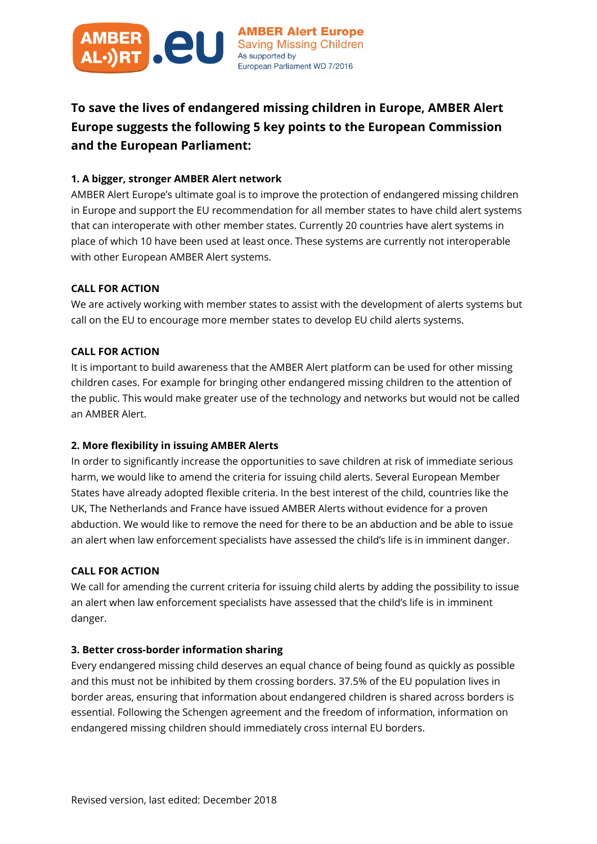

To save the lives of endangered missing children in Europe, AMBER Alert Europe suggests the following 5 key points to the European Commission and the European Parliament:

### 1. A bigger, stronger AMBER Alert network

AMBER Alert Europe's ultimate goal is to improve the protection of endangered missing children in Europe and support the EU recommendation for all member states to have child alert systems that can interoperate with other member states. Currently 20 countries have alert systems in place of which 10 have been used at least once. These systems are currently not interoperable with other European AMBER Alert systems.

### CALL FOR ACTION

We are actively working with member states to assist with the development of alerts systems but call on the EU to encourage more member states to develop EU child alerts systems.

#### CALL FOR ACTION

It is important to build awareness that the AMBER Alert platform can be used for other missing children cases. For example for bringing other endangered missing children to the attention of the public. This would make greater use of the technology and networks but would not be called an AMBER Alert.

## 2. More flexibility in issuing AMBER Alerts

In order to significantly increase the opportunities to save children at risk of immediate serious harm, we would like to amend the criteria for issuing child alerts. Several European Member States have already adopted flexible criteria. In the best interest of the child, countries like the UK, The Netherlands and France have issued AMBER Alerts without evidence for a proven abduction. We would like to remove the need for there to be an abduction and be able to issue an alert when law enforcement specialists have assessed the child's life is in imminent danger.

#### CALL FOR ACTION

We call for amending the current criteria for issuing child alerts by adding the possibility to issue an alert when law enforcement specialists have assessed that the child's life is in imminent danger.

#### 3. Better cross-border information sharing

Every endangered missing child deserves an equal chance of being found as quickly as possible and this must not be inhibited by them crossing borders. 37.5% of the EU population lives in border areas, ensuring that information about endangered children is shared across borders is essential. Following the Schengen agreement and the freedom of information, information on endangered missing children should immediately cross internal EU borders.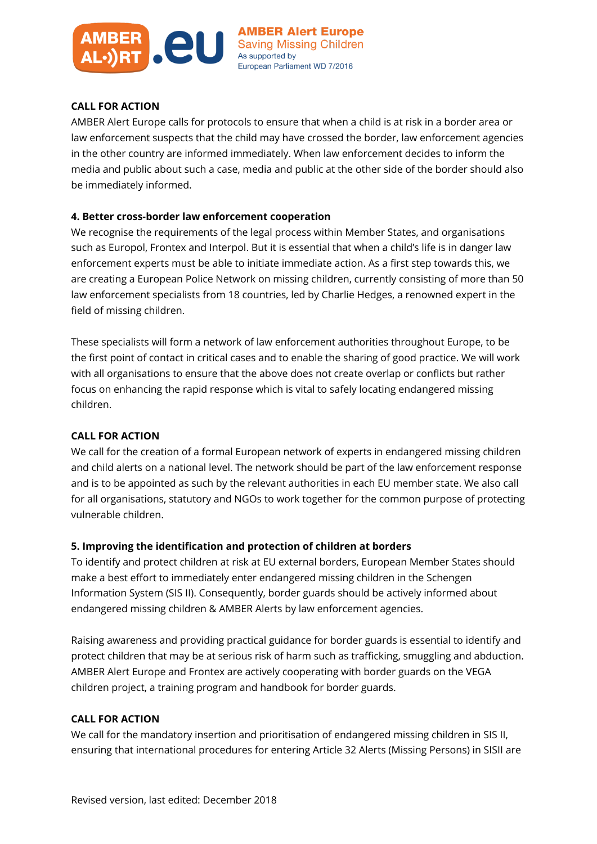

#### CALL FOR ACTION

AMBER Alert Europe calls for protocols to ensure that when a child is at risk in a border area or law enforcement suspects that the child may have crossed the border, law enforcement agencies in the other country are informed immediately. When law enforcement decides to inform the media and public about such a case, media and public at the other side of the border should also be immediately informed.

#### 4. Better cross-border law enforcement cooperation

We recognise the requirements of the legal process within Member States, and organisations such as Europol, Frontex and Interpol. But it is essential that when a child's life is in danger law enforcement experts must be able to initiate immediate action. As a first step towards this, we are creating a European Police Network on missing children, currently consisting of more than 50 law enforcement specialists from 18 countries, led by Charlie Hedges, a renowned expert in the field of missing children.

These specialists will form a network of law enforcement authorities throughout Europe, to be the first point of contact in critical cases and to enable the sharing of good practice. We will work with all organisations to ensure that the above does not create overlap or conflicts but rather focus on enhancing the rapid response which is vital to safely locating endangered missing children.

#### CALL FOR ACTION

We call for the creation of a formal European network of experts in endangered missing children and child alerts on a national level. The network should be part of the law enforcement response and is to be appointed as such by the relevant authorities in each EU member state. We also call for all organisations, statutory and NGOs to work together for the common purpose of protecting vulnerable children.

#### 5. Improving the identification and protection of children at borders

To identify and protect children at risk at EU external borders, European Member States should make a best effort to immediately enter endangered missing children in the Schengen Information System (SIS II). Consequently, border guards should be actively informed about endangered missing children & AMBER Alerts by law enforcement agencies.

Raising awareness and providing practical guidance for border guards is essential to identify and protect children that may be at serious risk of harm such as trafficking, smuggling and abduction. AMBER Alert Europe and Frontex are actively cooperating with border guards on the VEGA children project, a training program and handbook for border guards.

#### CALL FOR ACTION

We call for the mandatory insertion and prioritisation of endangered missing children in SIS II, ensuring that international procedures for entering Article 32 Alerts (Missing Persons) in SISII are